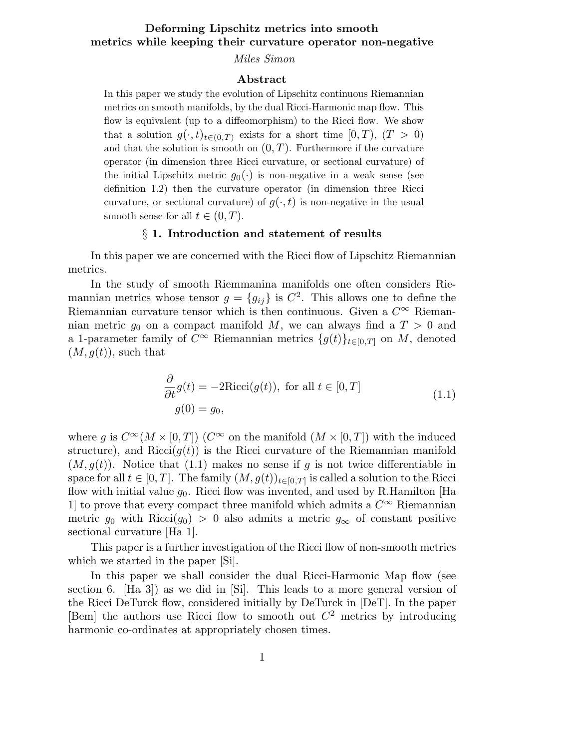# Deforming Lipschitz metrics into smooth metrics while keeping their curvature operator non-negative

Miles Simon

#### Abstract

In this paper we study the evolution of Lipschitz continuous Riemannian metrics on smooth manifolds, by the dual Ricci-Harmonic map flow. This flow is equivalent (up to a diffeomorphism) to the Ricci flow. We show that a solution  $g(\cdot,t)_{t\in(0,T)}$  exists for a short time  $[0,T)$ ,  $(T > 0)$ and that the solution is smooth on  $(0, T)$ . Furthermore if the curvature operator (in dimension three Ricci curvature, or sectional curvature) of the initial Lipschitz metric  $g_0(\cdot)$  is non-negative in a weak sense (see definition 1.2) then the curvature operator (in dimension three Ricci curvature, or sectional curvature) of  $g(\cdot,t)$  is non-negative in the usual smooth sense for all  $t \in (0, T)$ .

#### § 1. Introduction and statement of results

In this paper we are concerned with the Ricci flow of Lipschitz Riemannian metrics.

In the study of smooth Riemmanina manifolds one often considers Riemannian metrics whose tensor  $g = \{g_{ij}\}\$ is  $C^2$ . This allows one to define the Riemannian curvature tensor which is then continuous. Given a  $C^{\infty}$  Riemannian metric  $g_0$  on a compact manifold M, we can always find a  $T > 0$  and a 1-parameter family of  $C^{\infty}$  Riemannian metrics  $\{g(t)\}_{t\in[0,T]}$  on M, denoted  $(M, g(t))$ , such that

$$
\frac{\partial}{\partial t}g(t) = -2Ricci(g(t)), \text{ for all } t \in [0, T]
$$
  
 
$$
g(0) = g_0,
$$
 (1.1)

where q is  $C^{\infty}(M \times [0,T])$  ( $C^{\infty}$  on the manifold  $(M \times [0,T])$  with the induced structure), and Ricci( $q(t)$ ) is the Ricci curvature of the Riemannian manifold  $(M, g(t))$ . Notice that (1.1) makes no sense if g is not twice differentiable in space for all  $t \in [0, T]$ . The family  $(M, g(t))_{t \in [0, T]}$  is called a solution to the Ricci flow with initial value  $g_0$ . Ricci flow was invented, and used by R.Hamilton [Ha 1] to prove that every compact three manifold which admits a  $C^{\infty}$  Riemannian metric  $g_0$  with Ricci( $g_0$ ) > 0 also admits a metric  $g_\infty$  of constant positive sectional curvature [Ha 1].

This paper is a further investigation of the Ricci flow of non-smooth metrics which we started in the paper [Si].

In this paper we shall consider the dual Ricci-Harmonic Map flow (see section 6. [Ha 3]) as we did in [Si]. This leads to a more general version of the Ricci DeTurck flow, considered initially by DeTurck in [DeT]. In the paper [Bem] the authors use Ricci flow to smooth out  $C<sup>2</sup>$  metrics by introducing harmonic co-ordinates at appropriately chosen times.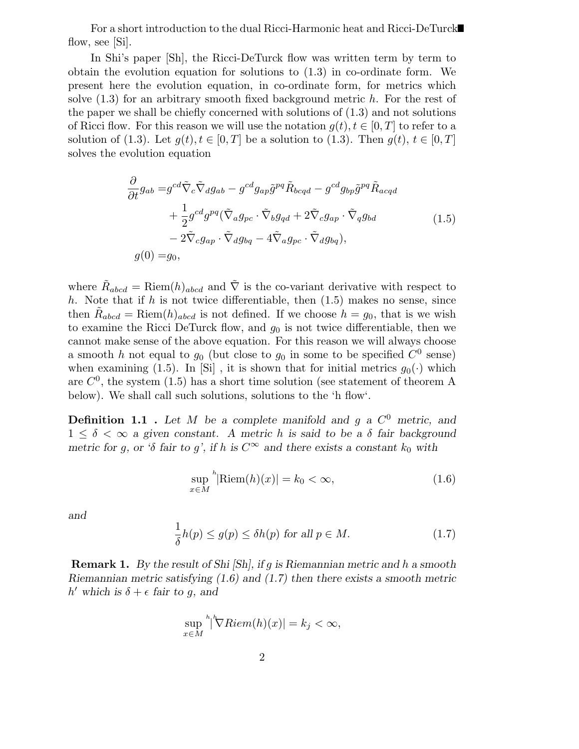For a short introduction to the dual Ricci-Harmonic heat and Ricci-DeTurck flow, see [Si].

In Shi's paper [Sh], the Ricci-DeTurck flow was written term by term to obtain the evolution equation for solutions to (1.3) in co-ordinate form. We present here the evolution equation, in co-ordinate form, for metrics which solve  $(1.3)$  for an arbitrary smooth fixed background metric h. For the rest of the paper we shall be chiefly concerned with solutions of  $(1.3)$  and not solutions of Ricci flow. For this reason we will use the notation  $q(t), t \in [0, T]$  to refer to a solution of (1.3). Let  $g(t), t \in [0,T]$  be a solution to (1.3). Then  $g(t), t \in [0,T]$ solves the evolution equation

$$
\frac{\partial}{\partial t}g_{ab} = g^{cd}\tilde{\nabla}_{c}\tilde{\nabla}_{d}g_{ab} - g^{cd}g_{ap}\tilde{g}^{pq}\tilde{R}_{bcqd} - g^{cd}g_{bp}\tilde{g}^{pq}\tilde{R}_{acqd} \n+ \frac{1}{2}g^{cd}g^{pq}(\tilde{\nabla}_{a}g_{pc} \cdot \tilde{\nabla}_{b}g_{qd} + 2\tilde{\nabla}_{c}g_{ap} \cdot \tilde{\nabla}_{q}g_{bd} \n- 2\tilde{\nabla}_{c}g_{ap} \cdot \tilde{\nabla}_{d}g_{bq} - 4\tilde{\nabla}_{a}g_{pc} \cdot \tilde{\nabla}_{d}g_{bq}), \ng(0) = g_{0},
$$
\n(1.5)

where  $\tilde{R}_{abcd} = \text{Riem}(h)_{abcd}$  and  $\tilde{\nabla}$  is the co-variant derivative with respect to h. Note that if h is not twice differentiable, then  $(1.5)$  makes no sense, since then  $\tilde{R}_{abcd} = \text{Riem}(h)_{abcd}$  is not defined. If we choose  $h = g_0$ , that is we wish to examine the Ricci DeTurck flow, and  $g_0$  is not twice differentiable, then we cannot make sense of the above equation. For this reason we will always choose a smooth h not equal to  $g_0$  (but close to  $g_0$  in some to be specified  $C^0$  sense) when examining (1.5). In [Si], it is shown that for initial metrics  $g_0(\cdot)$  which are  $C^0$ , the system (1.5) has a short time solution (see statement of theorem A below). We shall call such solutions, solutions to the 'h flow'.

**Definition 1.1** . Let M be a complete manifold and g a  $C^0$  metric, and  $1 \leq \delta < \infty$  a given constant. A metric h is said to be a  $\delta$  fair background metric for g, or 'δ fair to g', if h is  $C^{\infty}$  and there exists a constant  $k_0$  with

$$
\sup_{x \in M} {}^{h}|\text{Riem}(h)(x)| = k_0 < \infty,\tag{1.6}
$$

and

$$
\frac{1}{\delta}h(p) \le g(p) \le \delta h(p) \text{ for all } p \in M. \tag{1.7}
$$

Remark 1. By the result of Shi [Sh], if g is Riemannian metric and h a smooth Riemannian metric satisfying (1.6) and (1.7) then there exists a smooth metric h' which is  $\delta + \epsilon$  fair to g, and

$$
\sup_{x \in M} \sqrt[h]{\nabla Riem(h)(x)} = k_j < \infty,
$$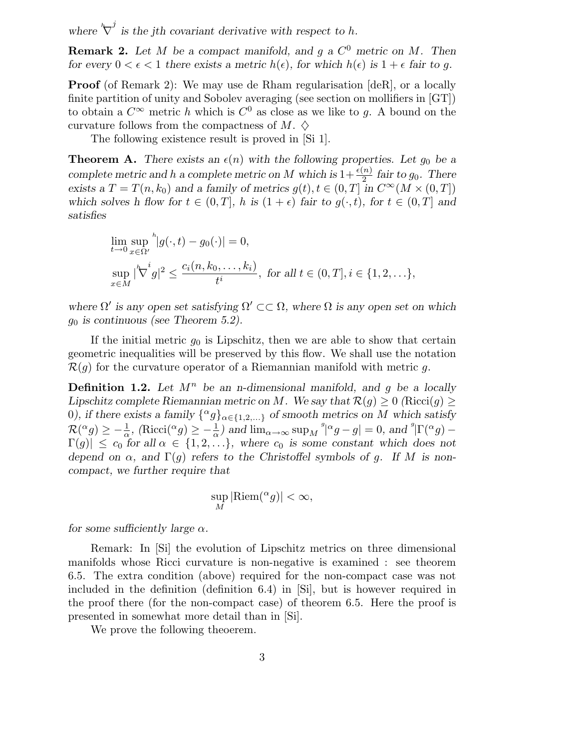where  $\sqrt[k]{ }$  $j$  is the jth covariant derivative with respect to h.

**Remark 2.** Let M be a compact manifold, and g a  $C^0$  metric on M. Then for every  $0 < \epsilon < 1$  there exists a metric  $h(\epsilon)$ , for which  $h(\epsilon)$  is  $1 + \epsilon$  fair to q.

**Proof** (of Remark 2): We may use de Rham regularisation [deR], or a locally finite partition of unity and Sobolev averaging (see section on mollifiers in [GT]) to obtain a  $C^{\infty}$  metric h which is  $C^0$  as close as we like to g. A bound on the curvature follows from the compactness of M.  $\diamondsuit$ 

The following existence result is proved in [Si 1].

**Theorem A.** There exists an  $\epsilon(n)$  with the following properties. Let  $g_0$  be a complete metric and h a complete metric on M which is  $1 + \frac{\epsilon(n)}{2}$  fair to  $g_0$ . There exists a  $T = T(n, k_0)$  and a family of metrics  $g(t), t \in (0, T]$  in  $C^{\infty}(M \times (0, T])$ which solves h flow for  $t \in (0,T]$ , h is  $(1+\epsilon)$  fair to  $g(\cdot,t)$ , for  $t \in (0,T]$  and satisfies

$$
\lim_{t \to 0} \sup_{x \in \Omega'} \frac{h}{|g(\cdot, t) - g_0(\cdot)|} = 0,
$$
  
\n
$$
\sup_{x \in M} |\nabla^i g|^2 \le \frac{c_i(n, k_0, \dots, k_i)}{t^i}, \text{ for all } t \in (0, T], i \in \{1, 2, \dots\},
$$

where  $\Omega'$  is any open set satisfying  $\Omega' \subset\subset \Omega$ , where  $\Omega$  is any open set on which  $g_0$  is continuous (see Theorem 5.2).

If the initial metric  $g_0$  is Lipschitz, then we are able to show that certain geometric inequalities will be preserved by this flow. We shall use the notation  $\mathcal{R}(q)$  for the curvature operator of a Riemannian manifold with metric g.

**Definition 1.2.** Let  $M^n$  be an n-dimensional manifold, and q be a locally Lipschitz complete Riemannian metric on M. We say that  $\mathcal{R}(q) \geq 0$  (Ricci $(q)$ ) 0), if there exists a family  $\{^{\alpha}g\}_{\alpha\in\{1,2,\ldots\}}$  of smooth metrics on M which satisfy  $\mathcal{R}(^{\alpha}g) \geq -\frac{1}{\alpha}$ , (Ricci( $^{\alpha}g$ )  $\geq -\frac{1}{\alpha}$ ) and  $\lim_{\alpha \to \infty} \sup_{M} \frac{g}{\alpha}g - g$  = 0, and  $^g$   $|\Gamma({}^{\alpha}g) - g|$  $\Gamma(g) \leq c_0$  for all  $\alpha \in \{1, 2, \ldots\}$ , where  $c_0$  is some constant which does not depend on  $\alpha$ , and  $\Gamma(g)$  refers to the Christoffel symbols of g. If M is noncompact, we further require that

$$
\sup_{M}|\text{Riem}({}^{\alpha}g)|<\infty,
$$

for some sufficiently large  $\alpha$ .

Remark: In [Si] the evolution of Lipschitz metrics on three dimensional manifolds whose Ricci curvature is non-negative is examined : see theorem 6.5. The extra condition (above) required for the non-compact case was not included in the definition (definition 6.4) in [Si], but is however required in the proof there (for the non-compact case) of theorem 6.5. Here the proof is presented in somewhat more detail than in [Si].

We prove the following theoerem.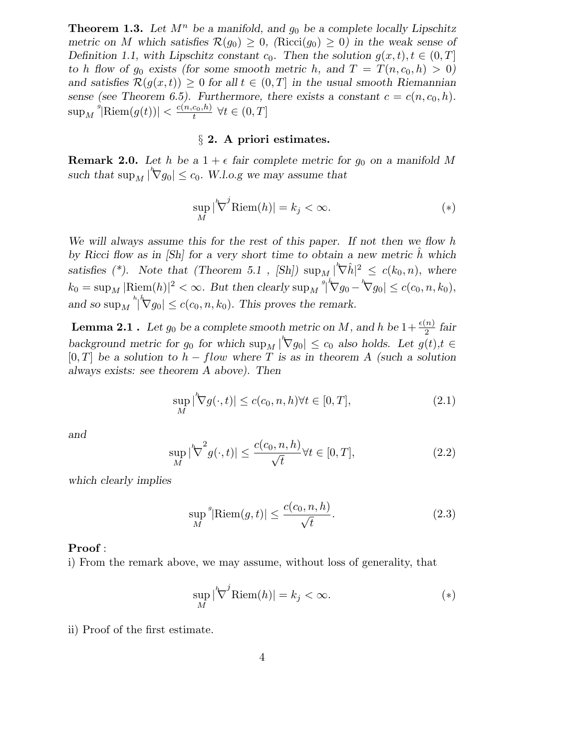**Theorem 1.3.** Let  $M^n$  be a manifold, and  $g_0$  be a complete locally Lipschitz metric on M which satisfies  $\mathcal{R}(q_0) > 0$ , (Ricci( $q_0 > 0$ ) in the weak sense of Definition 1.1, with Lipschitz constant  $c_0$ . Then the solution  $g(x,t), t \in (0,T]$ to h flow of  $g_0$  exists (for some smooth metric h, and  $T = T(n, c_0, h) > 0$ ) and satisfies  $\mathcal{R}(g(x,t)) \geq 0$  for all  $t \in (0,T]$  in the usual smooth Riemannian sense (see Theorem 6.5). Furthermore, there exists a constant  $c = c(n, c_0, h)$ .  $\sup_M$ <sup>s</sup> $|\text{Riem}(g(t))| < \frac{c(n,c_0,h)}{t}$  $\frac{c_0,n_1}{t}$   $\forall t \in (0,T]$ 

## § 2. A priori estimates.

**Remark 2.0.** Let h be a  $1 + \epsilon$  fair complete metric for  $g_0$  on a manifold M such that  $\sup_M |\nabla g_0| \leq c_0$ . W.l.o.g we may assume that

$$
\sup_{M} |\nabla^{j} \text{Riem}(h)| = k_{j} < \infty. \tag{*}
$$

We will always assume this for the rest of this paper. If not then we flow h by Ricci flow as in  $[Sh]$  for a very short time to obtain a new metric  $\hat{h}$  which satisfies (\*). Note that (Theorem 5.1, [Sh])  $\sup_{M_{\zeta}} |\nabla \hat{h}|^2 \leq c(k_0, n)$ , where  $k_0 = \sup_M |\text{Riem}(h)|^2 < \infty$ . But then clearly  $\sup_M$ <sup>"</sup>  $\hat{\nabla}g_0 - \nabla g_0 \leq c(c_0, n, k_0),$ and so  $\sup_M$ <sup>h</sup>  $|\nabla g_0| \leq c(c_0, n, k_0)$ . This proves the remark.

**Lemma 2.1** . Let  $g_0$  be a complete smooth metric on M, and h be  $1 + \frac{\epsilon(n)}{2}$  fair background metric for  $g_0$  for which  $\sup_M |\nabla g_0| \leq c_0$  also holds. Let  $g(t), t \in$  $[0,T]$  be a solution to  $h - flow$  where T is as in theorem A (such a solution always exists: see theorem A above). Then

$$
\sup_{M} |\nabla g(\cdot, t)| \le c(c_0, n, h) \forall t \in [0, T],
$$
\n(2.1)

and

$$
\sup_{M} |\nabla^{2} g(\cdot, t)| \le \frac{c(c_0, n, h)}{\sqrt{t}} \forall t \in [0, T],
$$
\n(2.2)

which clearly implies

$$
\sup_{M} \sup_{\mathcal{M}}^{s} |\text{Riem}(g, t)| \le \frac{c(c_0, n, h)}{\sqrt{t}}.
$$
\n(2.3)

### Proof :

i) From the remark above, we may assume, without loss of generality, that

$$
\sup_{M} |\nabla^{j} \text{Riem}(h)| = k_{j} < \infty. \tag{*}
$$

ii) Proof of the first estimate.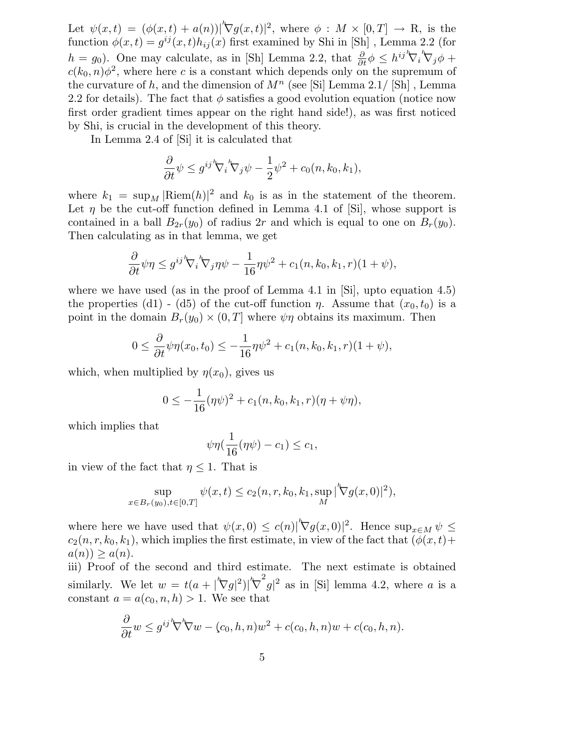Let  $\psi(x,t) = (\phi(x,t) + a(n))|\nabla g(x,t)|^2$ , where  $\phi : M \times [0,T] \to \mathbb{R}$ , is the function  $\phi(x,t) = g^{ij}(x,t)h_{ij}(x)$  first examined by Shi in [Sh], Lemma 2.2 (for  $h = g_0$ ). One may calculate, as in [Sh] Lemma 2.2, that  $\frac{\partial}{\partial t} \phi \leq h^{ij} \nabla_i \nabla_j \phi +$  $c(k_0,n)\phi^2$ , where here c is a constant which depends only on the supremum of the curvature of h, and the dimension of  $M^n$  (see [Si] Lemma 2.1/ [Sh], Lemma 2.2 for details). The fact that  $\phi$  satisfies a good evolution equation (notice now first order gradient times appear on the right hand side!), as was first noticed by Shi, is crucial in the development of this theory.

In Lemma 2.4 of [Si] it is calculated that

$$
\frac{\partial}{\partial t}\psi \leq g^{ij}{}^h\! \nabla_i{}^h\! \nabla_j \psi - \frac{1}{2}\psi^2 + c_0(n,k_0,k_1),
$$

where  $k_1 = \sup_M |\text{Riem}(h)|^2$  and  $k_0$  is as in the statement of the theorem. Let  $\eta$  be the cut-off function defined in Lemma 4.1 of [Si], whose support is contained in a ball  $B_{2r}(y_0)$  of radius 2r and which is equal to one on  $B_r(y_0)$ . Then calculating as in that lemma, we get

$$
\frac{\partial}{\partial t}\psi\eta \leq g^{ij} \nabla_i \nabla_j \eta \psi - \frac{1}{16}\eta \psi^2 + c_1(n, k_0, k_1, r)(1 + \psi),
$$

where we have used (as in the proof of Lemma 4.1 in [Si], upto equation 4.5) the properties (d1) - (d5) of the cut-off function  $\eta$ . Assume that  $(x_0, t_0)$  is a point in the domain  $B_r(y_0) \times (0,T]$  where  $\psi \eta$  obtains its maximum. Then

$$
0 \le \frac{\partial}{\partial t} \psi \eta(x_0, t_0) \le -\frac{1}{16} \eta \psi^2 + c_1(n, k_0, k_1, r)(1 + \psi),
$$

which, when multiplied by  $\eta(x_0)$ , gives us

$$
0 \leq -\frac{1}{16}(\eta\psi)^2 + c_1(n,k_0,k_1,r)(\eta+\psi\eta),
$$

which implies that

$$
\psi \eta(\frac{1}{16}(\eta\psi) - c_1) \leq c_1,
$$

in view of the fact that  $\eta \leq 1$ . That is

$$
\sup_{x \in B_r(y_0), t \in [0,T]} \psi(x,t) \le c_2(n,r,k_0,k_1,\sup_M |\nabla g(x,0)|^2),
$$

where here we have used that  $\psi(x,0) \leq c(n)|^{\kappa} \nabla g(x,0)|^2$ . Hence  $\sup_{x \in M} \psi \leq$  $c_2(n,r,k_0,k_1)$ , which implies the first estimate, in view of the fact that  $(\phi(x,t)+$  $a(n) \geq a(n)$ .

iii) Proof of the second and third estimate. The next estimate is obtained similarly. We let  $w = t(a + |\nabla g|^2)|\nabla$  $2^2 g|^2$  as in [Si] lemma 4.2, where a is a constant  $a = a(c_0, n, h) > 1$ . We see that

$$
\frac{\partial}{\partial t}w \leq g^{ij} \nabla \nabla w - (c_0, h, n)w^2 + c(c_0, h, n)w + c(c_0, h, n).
$$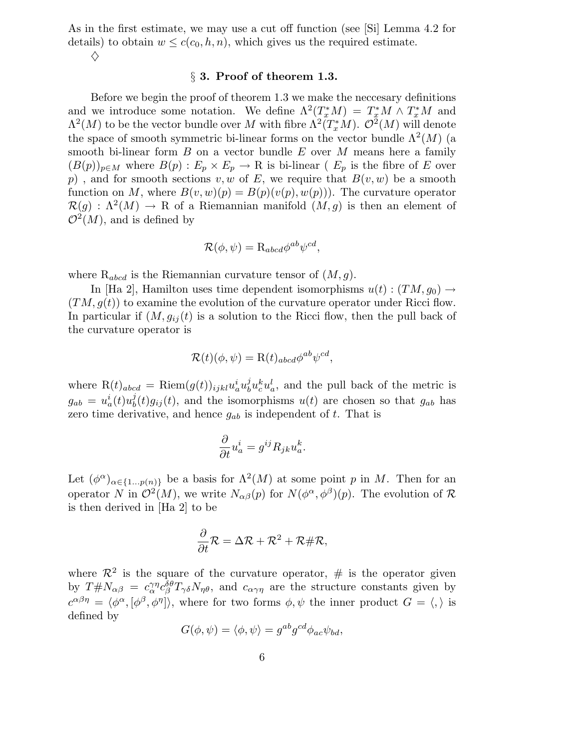As in the first estimate, we may use a cut off function (see [Si] Lemma 4.2 for details) to obtain  $w \leq c(c_0, h, n)$ , which gives us the required estimate.  $\diamondsuit$ 

### § 3. Proof of theorem 1.3.

Before we begin the proof of theorem 1.3 we make the neccesary definitions and we introduce some notation. We define  $\Lambda^2(T^*_xM) = T^*_xM \wedge T^*_xM$  and  $\Lambda^2(M)$  to be the vector bundle over M with fibre  $\Lambda^2(T^*_xM)$ .  $\mathcal{O}^2(M)$  will denote the space of smooth symmetric bi-linear forms on the vector bundle  $\Lambda^2(M)$  (a smooth bi-linear form  $B$  on a vector bundle  $E$  over  $M$  means here a family  $(B(p))_{p\in M}$  where  $B(p): E_p \times E_p \to \mathbb{R}$  is bi-linear ( $E_p$  is the fibre of E over p), and for smooth sections v, w of E, we require that  $B(v, w)$  be a smooth function on M, where  $B(v, w)(p) = B(p)(v(p), w(p))$ . The curvature operator  $\mathcal{R}(g) : \Lambda^2(M) \to \mathbb{R}$  of a Riemannian manifold  $(M, g)$  is then an element of  $\mathcal{O}^2(M)$ , and is defined by

$$
\mathcal{R}(\phi, \psi) = \mathcal{R}_{abcd} \phi^{ab} \psi^{cd},
$$

where  $\mathrm{R}_{abcd}$  is the Riemannian curvature tensor of  $(M,g)$ .

In [Ha 2], Hamilton uses time dependent isomorphisms  $u(t) : (TM, g_0) \rightarrow$  $(TM,g(t))$  to examine the evolution of the curvature operator under Ricci flow. In particular if  $(M, g_{ij}(t))$  is a solution to the Ricci flow, then the pull back of the curvature operator is

$$
\mathcal{R}(t)(\phi, \psi) = \mathcal{R}(t)_{abcd} \phi^{ab} \psi^{cd},
$$

where  $R(t)_{abcd} = Riem(g(t))_{ijkl} u_a^i u_b^j$  $\partial_b^j u_c^k u_a^l$ , and the pull back of the metric is  $g_{ab} = u_a^i(t)u_b^j$  $b<sub>b</sub>(t)g<sub>ij</sub>(t)$ , and the isomorphisms  $u(t)$  are chosen so that  $g<sub>ab</sub>$  has zero time derivative, and hence  $g_{ab}$  is independent of t. That is

$$
\frac{\partial}{\partial t}u_a^i = g^{ij}R_{jk}u_a^k.
$$

Let  $(\phi^{\alpha})_{\alpha \in \{1...p(n)\}}$  be a basis for  $\Lambda^2(M)$  at some point p in M. Then for an operator N in  $\mathcal{O}^2(M)$ , we write  $N_{\alpha\beta}(p)$  for  $N(\phi^{\alpha}, \phi^{\beta})(p)$ . The evolution of R is then derived in [Ha 2] to be

$$
\frac{\partial}{\partial t}\mathcal{R} = \Delta \mathcal{R} + \mathcal{R}^2 + \mathcal{R} \# \mathcal{R},
$$

where  $\mathcal{R}^2$  is the square of the curvature operator,  $\#$  is the operator given by  $T \# N_{\alpha\beta} = c_{\alpha}^{\gamma\eta} c_{\beta}^{\delta\theta} T_{\gamma\delta} N_{\eta\theta}$ , and  $c_{\alpha\gamma\eta}$  are the structure constants given by  $c^{\alpha\beta\eta} = \langle \phi^{\alpha}, [\phi^{\beta}, \phi^{\eta}] \rangle$ , where for two forms  $\phi, \psi$  the inner product  $G = \langle , \rangle$  is defined by

$$
G(\phi, \psi) = \langle \phi, \psi \rangle = g^{ab}g^{cd}\phi_{ac}\psi_{bd},
$$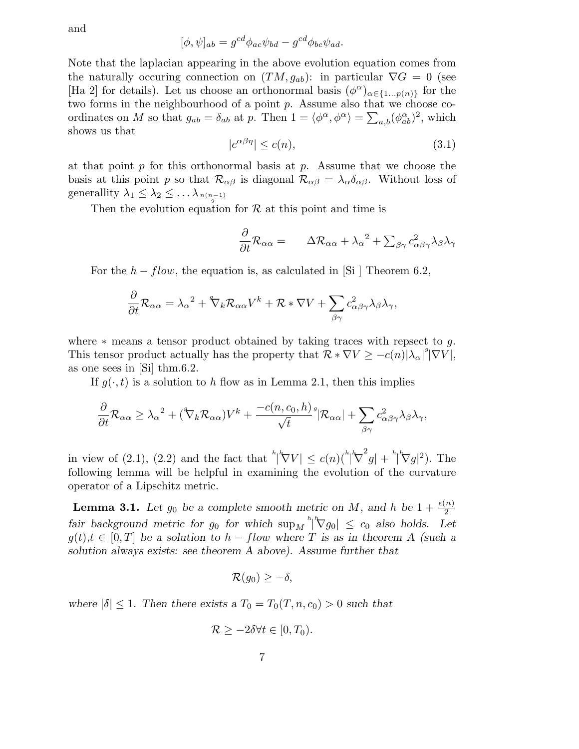and

$$
[\phi, \psi]_{ab} = g^{cd} \phi_{ac} \psi_{bd} - g^{cd} \phi_{bc} \psi_{ad}.
$$

Note that the laplacian appearing in the above evolution equation comes from the naturally occuring connection on  $(TM,g_{ab})$ : in particular  $\nabla G = 0$  (see [Ha 2] for details). Let us choose an orthonormal basis  $(\phi^{\alpha})_{\alpha \in \{1...p(n)\}}$  for the two forms in the neighbourhood of a point p. Assume also that we choose coordinates on M so that  $g_{ab} = \delta_{ab}$  at p. Then  $1 = \langle \phi^{\alpha}, \phi^{\alpha} \rangle = \sum_{a,b} (\phi^{\alpha}_{ab})^2$ , which shows us that

$$
|c^{\alpha\beta\eta}| \le c(n),\tag{3.1}
$$

at that point  $p$  for this orthonormal basis at  $p$ . Assume that we choose the basis at this point p so that  $\mathcal{R}_{\alpha\beta}$  is diagonal  $\mathcal{R}_{\alpha\beta} = \lambda_{\alpha} \delta_{\alpha\beta}$ . Without loss of generallity  $\lambda_1 \leq \lambda_2 \leq \ldots \lambda_{\frac{n(n-1)}{n}}$ 

Then the evolution equation for  $R$  at this point and time is

$$
\frac{\partial}{\partial t} \mathcal{R}_{\alpha\alpha} = \Delta \mathcal{R}_{\alpha\alpha} + \lambda_{\alpha}^{2} + \sum_{\beta\gamma} c_{\alpha\beta\gamma}^{2} \lambda_{\beta} \lambda_{\gamma}
$$

For the  $h - flow$ , the equation is, as calculated in [Si ] Theorem 6.2,

$$
\frac{\partial}{\partial t} \mathcal{R}_{\alpha\alpha} = \lambda_{\alpha}^{2} + {}^{4}\nabla_{k} \mathcal{R}_{\alpha\alpha} V^{k} + \mathcal{R} * \nabla V + \sum_{\beta\gamma} c_{\alpha\beta\gamma}^{2} \lambda_{\beta} \lambda_{\gamma},
$$

where  $*$  means a tensor product obtained by taking traces with repsect to q. This tensor product actually has the property that  $\mathcal{R} * \nabla V \geq -c(n)|\lambda_{\alpha}|^g |\nabla V|$ , as one sees in [Si] thm.6.2.

If  $g(\cdot,t)$  is a solution to h flow as in Lemma 2.1, then this implies

$$
\frac{\partial}{\partial t} \mathcal{R}_{\alpha\alpha} \geq \lambda_{\alpha}^2 + (\mathcal{V}_k \mathcal{R}_{\alpha\alpha}) V^k + \frac{-c(n, c_0, h)}{\sqrt{t}}^s |\mathcal{R}_{\alpha\alpha}| + \sum_{\beta\gamma} c_{\alpha\beta\gamma}^2 \lambda_{\beta} \lambda_{\gamma},
$$

in view of (2.1), (2.2) and the fact that  $\sqrt[n]{|\nabla V|} \leq c(n) \binom{\sqrt[n]{\nabla}}{|\nabla \nabla \nabla|}$  $\int_{a}^{2}g\vert + \int_{a}^{b}\nabla g\vert^{2}$ ). The following lemma will be helpful in examining the evolution of the curvature operator of a Lipschitz metric.

**Lemma 3.1.** Let  $g_0$  be a complete smooth metric on M, and h be  $1 + \frac{\epsilon(n)}{2}$ fair background metric for  $g_0$  for which  $\sup_M \sqrt[n]{\nabla g_0} \leq c_0$  also holds. Let  $g(t), t \in [0,T]$  be a solution to  $h - flow$  where T is as in theorem A (such a solution always exists: see theorem A above). Assume further that

$$
\mathcal{R}(g_0) \geq -\delta,
$$

where  $|\delta| \leq 1$ . Then there exists a  $T_0 = T_0(T, n, c_0) > 0$  such that

$$
\mathcal{R} \ge -2\delta \forall t \in [0, T_0).
$$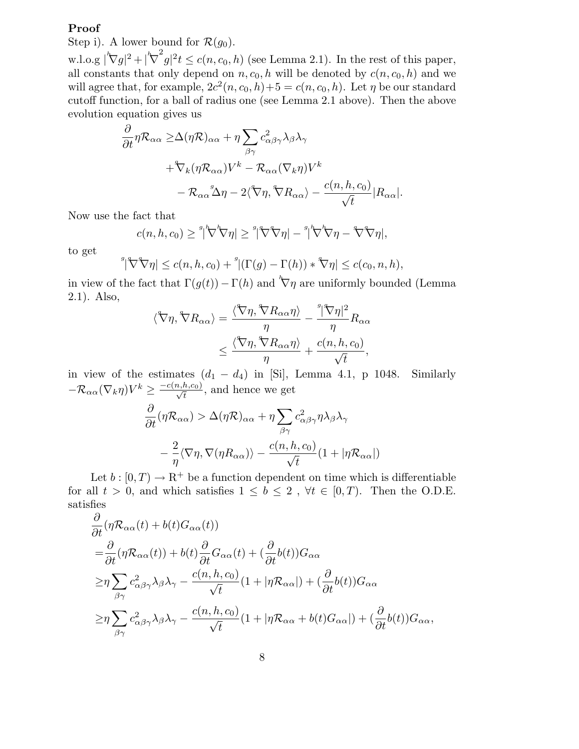# Proof

Step i). A lower bound for  $\mathcal{R}(g_0)$ .

w.l.o.g  $|\nabla g|^2 + |\nabla$  $\int_{a}^{2} g|^{2} t \leq c(n, c_{0}, h)$  (see Lemma 2.1). In the rest of this paper, all constants that only depend on  $n, c_0, h$  will be denoted by  $c(n, c_0, h)$  and we will agree that, for example,  $2c^2(n, c_0, h) + 5 = c(n, c_0, h)$ . Let  $\eta$  be our standard cutoff function, for a ball of radius one (see Lemma 2.1 above). Then the above evolution equation gives us

$$
\frac{\partial}{\partial t} \eta \mathcal{R}_{\alpha\alpha} \geq \Delta(\eta \mathcal{R})_{\alpha\alpha} + \eta \sum_{\beta\gamma} c_{\alpha\beta\gamma}^2 \lambda_{\beta} \lambda_{\gamma} \n+ \mathcal{R}_{k} (\eta \mathcal{R}_{\alpha\alpha}) V^k - \mathcal{R}_{\alpha\alpha} (\nabla_k \eta) V^k \n- \mathcal{R}_{\alpha\alpha}^3 \Delta \eta - 2 \langle \nabla \eta, \nabla R_{\alpha\alpha} \rangle - \frac{c(n, h, c_0)}{\sqrt{t}} |R_{\alpha\alpha}|.
$$

Now use the fact that

$$
c(n, h, c_0) \geq \sqrt[g]{\nabla^h \nabla \eta} \leq \sqrt[g]{\nabla^g \nabla \eta} - \sqrt[g]{\nabla^h \nabla \eta} - \sqrt[g]{\nabla \eta},
$$

to get

$$
\sqrt[g]{\nabla \nabla \eta} \le c(n, h, c_0) + \sqrt[g]{\Gamma(g) - \Gamma(h)} * \nabla \eta \le c(c_0, n, h),
$$

in view of the fact that  $\Gamma(g(t)) - \Gamma(h)$  and  $\nabla \eta$  are uniformly bounded (Lemma 2.1). Also,

$$
\langle \nabla \eta, \nabla R_{\alpha \alpha} \rangle = \frac{\langle \nabla \eta, \nabla R_{\alpha \alpha} \eta \rangle}{\eta} - \frac{\eta \nabla \eta \gamma^2}{\eta} R_{\alpha \alpha}
$$

$$
\leq \frac{\langle \nabla \eta, \nabla R_{\alpha \alpha} \eta \rangle}{\eta} + \frac{c(n, h, c_0)}{\sqrt{t}},
$$

in view of the estimates  $(d_1 - d_4)$  in [Si], Lemma 4.1, p 1048. Similarly  $-\mathcal{R}_{\alpha\alpha}(\nabla_k \eta)V^k \geq \frac{-c(n,h,c_0)}{\sqrt{t}}$ , and hence we get

$$
\frac{\partial}{\partial t} (\eta \mathcal{R}_{\alpha \alpha}) > \Delta(\eta \mathcal{R})_{\alpha \alpha} + \eta \sum_{\beta \gamma} c_{\alpha \beta \gamma}^2 \eta \lambda_{\beta} \lambda_{\gamma} \n- \frac{2}{\eta} \langle \nabla \eta, \nabla (\eta R_{\alpha \alpha}) \rangle - \frac{c(n, h, c_0)}{\sqrt{t}} (1 + |\eta \mathcal{R}_{\alpha \alpha}|)
$$

Let  $b : [0, T) \to \mathbb{R}^+$  be a function dependent on time which is differentiable for all  $t > 0$ , and which satisfies  $1 \leq b \leq 2$ ,  $\forall t \in [0, T)$ . Then the O.D.E. satisfies

$$
\frac{\partial}{\partial t} (\eta \mathcal{R}_{\alpha\alpha}(t) + b(t)G_{\alpha\alpha}(t))
$$
\n
$$
= \frac{\partial}{\partial t} (\eta \mathcal{R}_{\alpha\alpha}(t)) + b(t) \frac{\partial}{\partial t} G_{\alpha\alpha}(t) + (\frac{\partial}{\partial t} b(t))G_{\alpha\alpha}
$$
\n
$$
\geq \eta \sum_{\beta\gamma} c_{\alpha\beta\gamma}^2 \lambda_{\beta} \lambda_{\gamma} - \frac{c(n, h, c_0)}{\sqrt{t}} (1 + |\eta \mathcal{R}_{\alpha\alpha}|) + (\frac{\partial}{\partial t} b(t))G_{\alpha\alpha}
$$
\n
$$
\geq \eta \sum_{\beta\gamma} c_{\alpha\beta\gamma}^2 \lambda_{\beta} \lambda_{\gamma} - \frac{c(n, h, c_0)}{\sqrt{t}} (1 + |\eta \mathcal{R}_{\alpha\alpha} + b(t)G_{\alpha\alpha}|) + (\frac{\partial}{\partial t} b(t))G_{\alpha\alpha},
$$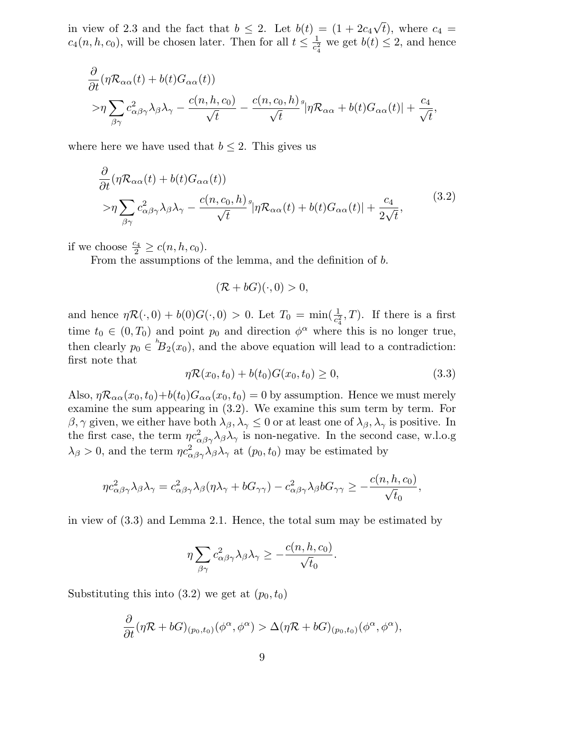in view of 2.3 and the fact that  $b \leq 2$ . Let  $b(t) = (1 + 2c_4\sqrt{t})$ , where  $c_4 =$  $c_4(n, h, c_0)$ , will be chosen later. Then for all  $t \leq \frac{1}{c_2^2}$  $\frac{1}{c_4^2}$  we get  $b(t) \leq 2$ , and hence

$$
\frac{\partial}{\partial t} (\eta \mathcal{R}_{\alpha\alpha}(t) + b(t)G_{\alpha\alpha}(t)) \n\gg \eta \sum_{\beta\gamma} c_{\alpha\beta\gamma}^2 \lambda_{\beta} \lambda_{\gamma} - \frac{c(n, h, c_0)}{\sqrt{t}} - \frac{c(n, c_0, h)}{\sqrt{t}}^s |\eta \mathcal{R}_{\alpha\alpha} + b(t)G_{\alpha\alpha}(t)| + \frac{c_4}{\sqrt{t}},
$$

where here we have used that  $b \leq 2$ . This gives us

$$
\frac{\partial}{\partial t} (\eta \mathcal{R}_{\alpha\alpha}(t) + b(t)G_{\alpha\alpha}(t)) \n> \eta \sum_{\beta\gamma} c_{\alpha\beta\gamma}^2 \lambda_{\beta} \lambda_{\gamma} - \frac{c(n, c_0, h)}{\sqrt{t}} \eta \mathcal{R}_{\alpha\alpha}(t) + b(t)G_{\alpha\alpha}(t) + \frac{c_4}{2\sqrt{t}},
$$
\n(3.2)

if we choose  $\frac{c_4}{2} \ge c(n, h, c_0)$ .

From the assumptions of the lemma, and the definition of b.

$$
(\mathcal{R}+bG)(\cdot,0)>0,
$$

and hence  $\eta \mathcal{R}(\cdot,0) + b(0)G(\cdot,0) > 0$ . Let  $T_0 = \min(\frac{1}{c_4^2},T)$ . If there is a first time  $t_0 \in (0,T_0)$  and point  $p_0$  and direction  $\phi^{\alpha}$  where this is no longer true, then clearly  $p_0 \in {}^h\!B_2(x_0)$ , and the above equation will lead to a contradiction: first note that

$$
\eta \mathcal{R}(x_0, t_0) + b(t_0) G(x_0, t_0) \ge 0,
$$
\n(3.3)

Also,  $\eta \mathcal{R}_{\alpha\alpha}(x_0,t_0)+b(t_0)G_{\alpha\alpha}(x_0,t_0)=0$  by assumption. Hence we must merely examine the sum appearing in (3.2). We examine this sum term by term. For  $\beta,\gamma$  given, we either have both  $\lambda_\beta,\lambda_\gamma\leq 0$  or at least one of  $\lambda_\beta,\lambda_\gamma$  is positive. In the first case, the term  $\eta c_{\alpha\beta\gamma}^2 \lambda_\beta \lambda_\gamma$  is non-negative. In the second case, w.l.o.g  $\lambda_{\beta} > 0$ , and the term  $\eta c_{\alpha\beta\gamma}^2 \lambda_{\beta} \lambda_{\gamma}$  at  $(p_0, t_0)$  may be estimated by

$$
\eta c_{\alpha\beta\gamma}^2\lambda_{\beta}\lambda_{\gamma}=c_{\alpha\beta\gamma}^2\lambda_{\beta}(\eta\lambda_{\gamma}+bG_{\gamma\gamma})-c_{\alpha\beta\gamma}^2\lambda_{\beta}bG_{\gamma\gamma}\geq-\frac{c(n,h,c_0)}{\sqrt{t_0}},
$$

in view of (3.3) and Lemma 2.1. Hence, the total sum may be estimated by

$$
\eta \sum_{\beta \gamma} c_{\alpha \beta \gamma}^2 \lambda_{\beta} \lambda_{\gamma} \geq -\frac{c(n, h, c_0)}{\sqrt{t_0}}.
$$

Substituting this into  $(3.2)$  we get at  $(p_0, t_0)$ 

$$
\frac{\partial}{\partial t} (\eta \mathcal{R} + bG)_{(p_0,t_0)} (\phi^{\alpha}, \phi^{\alpha}) > \Delta(\eta \mathcal{R} + bG)_{(p_0,t_0)} (\phi^{\alpha}, \phi^{\alpha}),
$$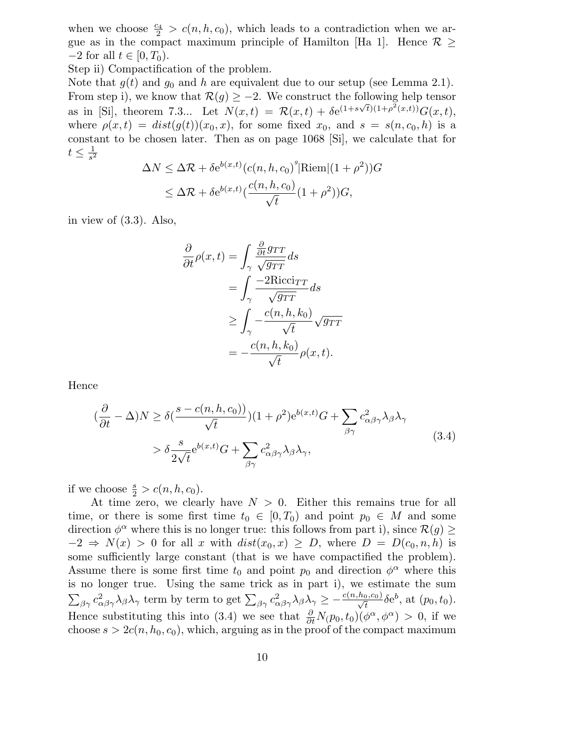when we choose  $\frac{c_4}{2} > c(n, h, c_0)$ , which leads to a contradiction when we argue as in the compact maximum principle of Hamilton [Ha 1]. Hence  $\mathcal{R}$  >  $-2$  for all  $t \in [0, T_0)$ .

Step ii) Compactification of the problem.

Note that  $g(t)$  and  $g_0$  and h are equivalent due to our setup (see Lemma 2.1). From step i), we know that  $\mathcal{R}(g) \geq -2$ . We construct the following help tensor as in [Si], theorem 7.3... Let  $N(x,t) = \mathcal{R}(x,t) + \delta e^{(1+s\sqrt{t})(1+\rho^2(x,t))} G(x,t)$ , where  $\rho(x,t) = dist(g(t))(x_0,x)$ , for some fixed  $x_0$ , and  $s = s(n,c_0,h)$  is a constant to be chosen later. Then as on page 1068 [Si], we calculate that for  $t\leq \frac{1}{s^2}$  $\overline{s^2}$ 

$$
\Delta N \leq \Delta \mathcal{R} + \delta e^{b(x,t)} (c(n, h, c_0)^s | \text{Riem} | (1 + \rho^2)) G
$$
  

$$
\leq \Delta \mathcal{R} + \delta e^{b(x,t)} (\frac{c(n, h, c_0)}{\sqrt{t}} (1 + \rho^2)) G,
$$

in view of (3.3). Also,

$$
\frac{\partial}{\partial t}\rho(x,t) = \int_{\gamma} \frac{\frac{\partial}{\partial t} g_{TT}}{\sqrt{g_{TT}}} ds
$$
  
\n
$$
= \int_{\gamma} \frac{-2Ricci_{TT}}{\sqrt{g_{TT}}} ds
$$
  
\n
$$
\geq \int_{\gamma} -\frac{c(n, h, k_0)}{\sqrt{t}} \sqrt{g_{TT}}
$$
  
\n
$$
= -\frac{c(n, h, k_0)}{\sqrt{t}} \rho(x, t).
$$

Hence

$$
(\frac{\partial}{\partial t} - \Delta)N \ge \delta\left(\frac{s - c(n, h, c_0)}{\sqrt{t}}\right)(1 + \rho^2)e^{b(x, t)}G + \sum_{\beta\gamma} c_{\alpha\beta\gamma}^2 \lambda_{\beta}\lambda_{\gamma}
$$
  
> 
$$
\delta \frac{s}{2\sqrt{t}}e^{b(x, t)}G + \sum_{\beta\gamma} c_{\alpha\beta\gamma}^2 \lambda_{\beta}\lambda_{\gamma},
$$
 (3.4)

if we choose  $\frac{s}{2} > c(n, h, c_0)$ .

At time zero, we clearly have  $N > 0$ . Either this remains true for all time, or there is some first time  $t_0 \in [0, T_0)$  and point  $p_0 \in M$  and some direction  $\phi^{\alpha}$  where this is no longer true: this follows from part i), since  $\mathcal{R}(g) \geq$  $-2 \Rightarrow N(x) > 0$  for all x with  $dist(x_0, x) \geq D$ , where  $D = D(c_0, n, h)$  is some sufficiently large constant (that is we have compactified the problem). Assume there is some first time  $t_0$  and point  $p_0$  and direction  $\phi^{\alpha}$  where this is no longer true. Using the same trick as in part i), we estimate the sum  $\sum_{\beta\gamma} c_{\alpha\beta\gamma}^2 \lambda_{\beta} \lambda_{\gamma}$  term by term to get  $\sum_{\beta\gamma} c_{\alpha\beta\gamma}^2 \lambda_{\beta} \lambda_{\gamma} \geq -\frac{c(n,h_0,c_0)}{\sqrt{t}} \delta e^b$ , at  $(p_0, t_0)$ . Hence substituting this into (3.4) we see that  $\frac{\partial}{\partial t}N(p_0, t_0)(\phi^{\alpha}, \phi^{\alpha}) > 0$ , if we choose  $s > 2c(n, h_0, c_0)$ , which, arguing as in the proof of the compact maximum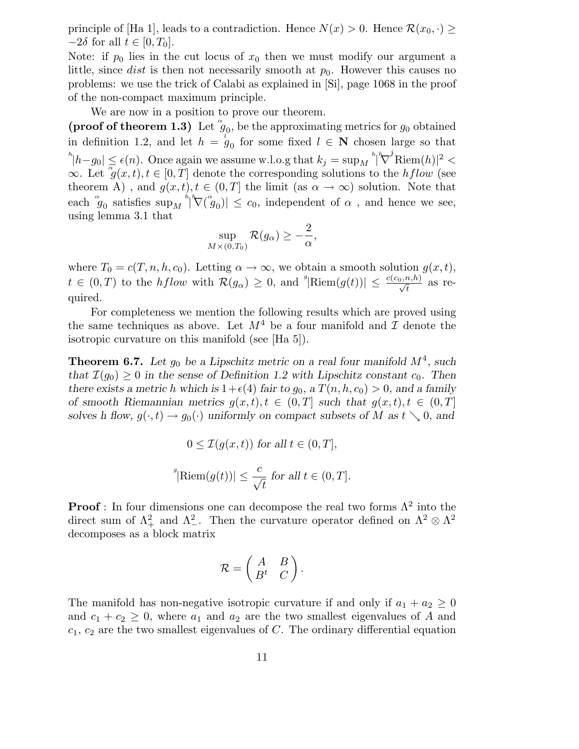principle of [Ha 1], leads to a contradiction. Hence  $N(x) > 0$ . Hence  $\mathcal{R}(x_0, \cdot)$  $-2\delta$  for all  $t \in [0, T_0]$ .

Note: if  $p_0$  lies in the cut locus of  $x_0$  then we must modify our argument a little, since *dist* is then not necessarily smooth at  $p_0$ . However this causes no problems: we use the trick of Calabi as explained in [Si], page 1068 in the proof of the non-compact maximum principle.

We are now in a position to prove our theorem.

(proof of theorem 1.3) Let  $\mathscr{G}_0$ , be the approximating metrics for  $g_0$  obtained in definition 1.2, and let  $h = g_0$  for some fixed  $l \in \mathbb{N}$  chosen large so that  $|h - g_0| \leq \epsilon(n)$ . Once again we assume w.l.o.g that  $k_j = \sup_M \frac{h}{N}$  $\int^j \text{Riem}(h)|^2 <$  $\infty$ . Let  $\overline{g}(x,t), t \in [0,T]$  denote the corresponding solutions to the hflow (see theorem A), and  $g(x,t), t \in (0,T]$  the limit (as  $\alpha \to \infty$ ) solution. Note that each  $\phi_0$  satisfies  $\sup_M h^{\prime\prime}(\phi_0)| \leq c_0$ , independent of  $\alpha$ , and hence we see, using lemma 3.1 that

$$
\sup_{M\times(0,T_0)}\mathcal{R}(g_{\alpha})\geq-\frac{2}{\alpha},
$$

where  $T_0 = c(T, n, h, c_0)$ . Letting  $\alpha \to \infty$ , we obtain a smooth solution  $g(x, t)$ ,  $t \in (0,T)$  to the *hflow* with  $\mathcal{R}(g_{\alpha}) \geq 0$ , and  $\sqrt[g]{\text{Riem}(g(t))} \leq \frac{c(c_0, n, h)}{\sqrt{t}}$  as required.

For completeness we mention the following results which are proved using the same techniques as above. Let  $M^4$  be a four manifold and  $\mathcal I$  denote the isotropic curvature on this manifold (see [Ha 5]).

**Theorem 6.7.** Let  $g_0$  be a Lipschitz metric on a real four manifold  $M^4$ , such that  $\mathcal{I}(g_0) \geq 0$  in the sense of Definition 1.2 with Lipschitz constant  $c_0$ . Then there exists a metric h which is  $1+\epsilon(4)$  fair to  $g_0$ , a  $T(n,h,c_0) > 0$ , and a family of smooth Riemannian metrics  $g(x,t), t \in (0,T]$  such that  $g(x,t), t \in (0,T]$ solves h flow,  $g(\cdot,t) \to g_0(\cdot)$  uniformly on compact subsets of M as  $t \searrow 0$ , and

$$
0 \leq \mathcal{I}(g(x,t)) \text{ for all } t \in (0,T],
$$
  

$$
{}^g|\text{Riem}(g(t))| \leq \frac{c}{\sqrt{t}} \text{ for all } t \in (0,T].
$$

**Proof**: In four dimensions one can decompose the real two forms  $\Lambda^2$  into the direct sum of  $\Lambda^2_+$  and  $\Lambda^2_-$ . Then the curvature operator defined on  $\Lambda^2 \otimes \Lambda^2$ decomposes as a block matrix

$$
\mathcal{R} = \begin{pmatrix} A & B \\ B^t & C \end{pmatrix}.
$$

The manifold has non-negative isotropic curvature if and only if  $a_1 + a_2 \geq 0$ and  $c_1 + c_2 \geq 0$ , where  $a_1$  and  $a_2$  are the two smallest eigenvalues of A and  $c_1, c_2$  are the two smallest eigenvalues of C. The ordinary differential equation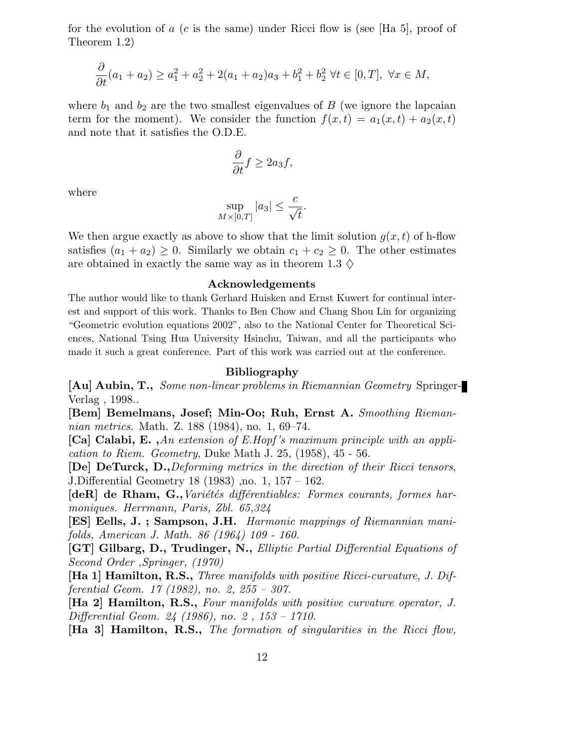for the evolution of a  $(c$  is the same) under Ricci flow is (see [Ha 5], proof of Theorem 1.2)

$$
\frac{\partial}{\partial t}(a_1 + a_2) \ge a_1^2 + a_2^2 + 2(a_1 + a_2)a_3 + b_1^2 + b_2^2 \ \forall t \in [0, T], \ \forall x \in M,
$$

where  $b_1$  and  $b_2$  are the two smallest eigenvalues of B (we ignore the lapcaian term for the moment). We consider the function  $f(x,t) = a_1(x,t) + a_2(x,t)$ and note that it satisfies the O.D.E.

$$
\frac{\partial}{\partial t}f \ge 2a_3f,
$$

where

$$
\sup_{M\times[0,T]}|a_3|\leq \frac{c}{\sqrt{t}}.
$$

We then argue exactly as above to show that the limit solution  $g(x,t)$  of h-flow satisfies  $(a_1 + a_2) \geq 0$ . Similarly we obtain  $c_1 + c_2 \geq 0$ . The other estimates are obtained in exactly the same way as in theorem 1.3  $\diamond$ 

#### Acknowledgements

The author would like to thank Gerhard Huisken and Ernst Kuwert for continual interest and support of this work. Thanks to Ben Chow and Chang Shou Lin for organizing "Geometric evolution equations 2002", also to the National Center for Theoretical Sciences, National Tsing Hua University Hsinchu, Taiwan, and all the participants who made it such a great conference. Part of this work was carried out at the conference.

#### Bibliography

[Au] Aubin, T., Some non-linear problems in Riemannian Geometry Springer-Verlag , 1998..

[Bem] Bemelmans, Josef; Min-Oo; Ruh, Ernst A. Smoothing Riemannian metrics. Math. Z. 188 (1984), no. 1, 69–74.

[Ca] Calabi, E. ,An extension of E.Hopf 's maximum principle with an application to Riem. Geometry, Duke Math J. 25, (1958), 45 - 56.

[De] DeTurck, D.,Deforming metrics in the direction of their Ricci tensors, J.Differential Geometry 18 (1983) ,no. 1, 157 – 162.

 $[deR]$  de Rham, G., Variétés différentiables: Formes courants, formes harmoniques. Herrmann, Paris, Zbl. 65,324

[ES] Eells, J.; Sampson, J.H. Harmonic mappings of Riemannian manifolds, American J. Math. 86 (1964) 109 - 160.

[GT] Gilbarg, D., Trudinger, N., Elliptic Partial Differential Equations of Second Order ,Springer, (1970)

[Ha 1] Hamilton, R.S., Three manifolds with positive Ricci-curvature, J. Differential Geom. 17 (1982), no. 2, 255 – 307.

[Ha 2] Hamilton, R.S., Four manifolds with positive curvature operator, J. Differential Geom. 24 (1986), no. 2 , 153 – 1710.

[Ha 3] Hamilton, R.S., The formation of singularities in the Ricci flow,